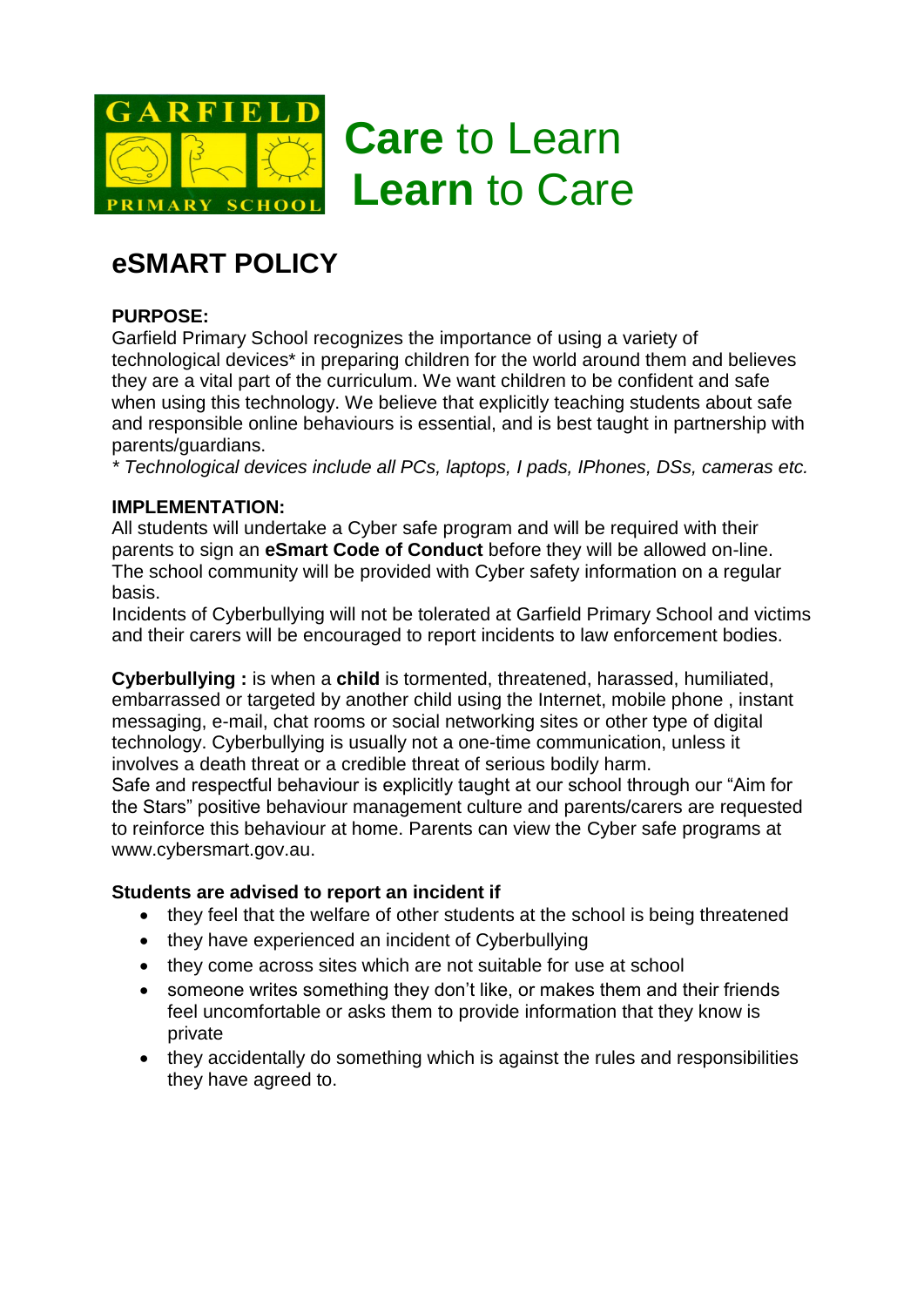

# **eSMART POLICY**

## **PURPOSE:**

Garfield Primary School recognizes the importance of using a variety of technological devices\* in preparing children for the world around them and believes they are a vital part of the curriculum. We want children to be confident and safe when using this technology. We believe that explicitly teaching students about safe and responsible online behaviours is essential, and is best taught in partnership with parents/guardians.

*\* Technological devices include all PCs, laptops, I pads, IPhones, DSs, cameras etc.*

#### **IMPLEMENTATION:**

All students will undertake a Cyber safe program and will be required with their parents to sign an **eSmart Code of Conduct** before they will be allowed on-line. The school community will be provided with Cyber safety information on a regular basis.

Incidents of Cyberbullying will not be tolerated at Garfield Primary School and victims and their carers will be encouraged to report incidents to law enforcement bodies.

**Cyberbullying :** is when a **child** is tormented, threatened, harassed, humiliated, embarrassed or targeted by another child using the Internet, mobile phone , instant messaging, e-mail, chat rooms or social networking sites or other type of digital technology. Cyberbullying is usually not a one-time communication, unless it involves a death threat or a credible threat of serious bodily harm. Safe and respectful behaviour is explicitly taught at our school through our "Aim for

the Stars" positive behaviour management culture and parents/carers are requested to reinforce this behaviour at home. Parents can view the Cyber safe programs at www.cybersmart.gov.au.

### **Students are advised to report an incident if**

- they feel that the welfare of other students at the school is being threatened
- they have experienced an incident of Cyberbullying
- they come across sites which are not suitable for use at school
- someone writes something they don't like, or makes them and their friends feel uncomfortable or asks them to provide information that they know is private
- they accidentally do something which is against the rules and responsibilities they have agreed to.